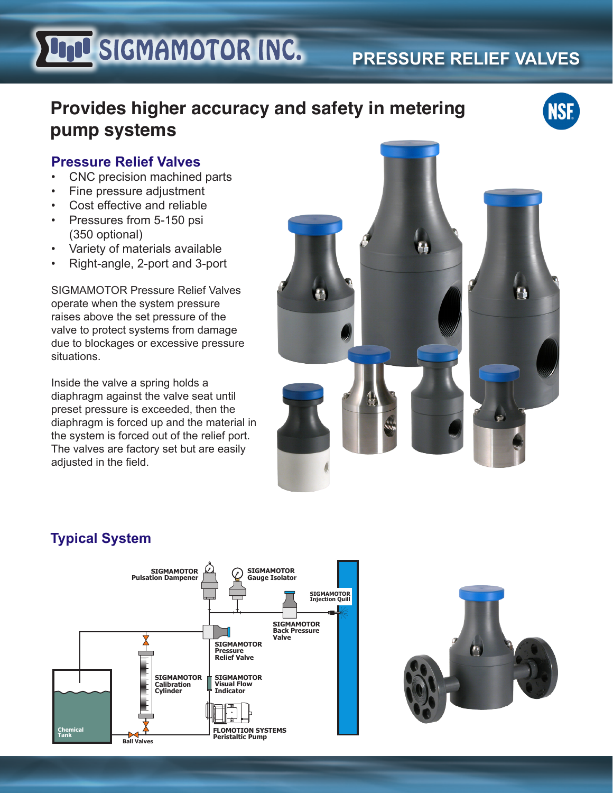# **LIQU SIGMAMOTOR INC.**

## **Provides higher accuracy and safety in metering pump systems**



#### **Pressure Relief Valves**

- CNC precision machined parts
- Fine pressure adjustment
- • Cost effective and reliable
- Pressures from 5-150 psi (350 optional)
- Variety of materials available
- Right-angle, 2-port and 3-port

SIGMAMOTOR Pressure Relief Valves operate when the system pressure raises above the set pressure of the valve to protect systems from damage due to blockages or excessive pressure situations.

Inside the valve a spring holds a diaphragm against the valve seat until preset pressure is exceeded, then the diaphragm is forced up and the material in the system is forced out of the relief port. The valves are factory set but are easily adjusted in the field.



**PRESSURE RELIEF VALVES**

### **Typical System**